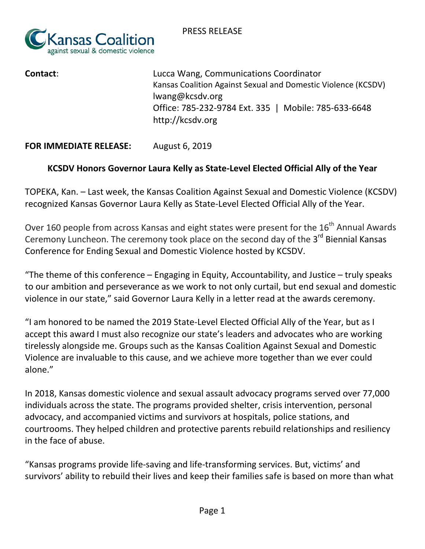PRESS RELEASE



**Contact: Contact: Contact: Lucca Wang, Communications Coordinator** Kansas Coalition Against Sexual and Domestic Violence (KCSDV) [lwang@kcsdv.org](mailto:lwang@kcsdv.org) Office: 785-232-9784 Ext. 335 | Mobile: 785-633-6648 [http://kcsdv.org](http://kcsdv.org/)

## **FOR IMMEDIATE RELEASE:** August 6, 2019

## **KCSDV Honors Governor Laura Kelly as State-Level Elected Official Ally of the Year**

TOPEKA, Kan. – Last week, the Kansas Coalition Against Sexual and Domestic Violence (KCSDV) recognized Kansas Governor Laura Kelly as State-Level Elected Official Ally of the Year.

Over 160 people from across Kansas and eight states were present for the 16<sup>th</sup> Annual Awards Ceremony Luncheon. The ceremony took place on the second day of the 3<sup>rd</sup> Biennial Kansas Conference for Ending Sexual and Domestic Violence hosted by KCSDV.

"The theme of this conference  $-$  Engaging in Equity, Accountability, and Justice  $-$  truly speaks to our ambition and perseverance as we work to not only curtail, but end sexual and domestic violence in our state," said Governor Laura Kelly in a letter read at the awards ceremony.

"I am honored to be named the 2019 State-Level Elected Official Ally of the Year, but as I accept this award I must also recognize our state's leaders and advocates who are working tirelessly alongside me. Groups such as the Kansas Coalition Against Sexual and Domestic Violence are invaluable to this cause, and we achieve more together than we ever could alone."

In 2018, Kansas domestic violence and sexual assault advocacy programs served over 77,000 individuals across the state. The programs provided shelter, crisis intervention, personal advocacy, and accompanied victims and survivors at hospitals, police stations, and courtrooms. They helped children and protective parents rebuild relationships and resiliency in the face of abuse.

"Kansas programs provide life-saving and life-transforming services. But, victims' and survivors' ability to rebuild their lives and keep their families safe is based on more than what